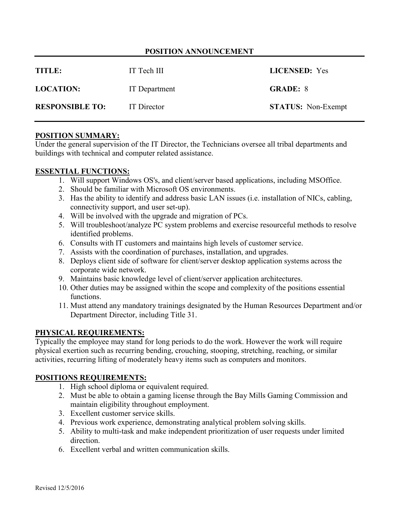# **POSITION ANNOUNCEMENT**

| TITLE:                 | IT Tech III   | <b>LICENSED:</b> Yes      |
|------------------------|---------------|---------------------------|
| <b>LOCATION:</b>       | IT Department | <b>GRADE: 8</b>           |
| <b>RESPONSIBLE TO:</b> | IT Director   | <b>STATUS:</b> Non-Exempt |

#### **POSITION SUMMARY:**

Under the general supervision of the IT Director, the Technicians oversee all tribal departments and buildings with technical and computer related assistance.

## **ESSENTIAL FUNCTIONS:**

- 1. Will support Windows OS's, and client/server based applications, including MSOffice.
- 2. Should be familiar with Microsoft OS environments.
- 3. Has the ability to identify and address basic LAN issues (i.e. installation of NICs, cabling, connectivity support, and user set-up).
- 4. Will be involved with the upgrade and migration of PCs.
- 5. Will troubleshoot/analyze PC system problems and exercise resourceful methods to resolve identified problems.
- 6. Consults with IT customers and maintains high levels of customer service.
- 7. Assists with the coordination of purchases, installation, and upgrades.
- 8. Deploys client side of software for client/server desktop application systems across the corporate wide network.
- 9. Maintains basic knowledge level of client/server application architectures.
- 10. Other duties may be assigned within the scope and complexity of the positions essential functions.
- 11. Must attend any mandatory trainings designated by the Human Resources Department and/or Department Director, including Title 31.

## **PHYSICAL REQUIREMENTS:**

Typically the employee may stand for long periods to do the work. However the work will require physical exertion such as recurring bending, crouching, stooping, stretching, reaching, or similar activities, recurring lifting of moderately heavy items such as computers and monitors.

## **POSITIONS REQUIREMENTS:**

- 1. High school diploma or equivalent required.
- 2. Must be able to obtain a gaming license through the Bay Mills Gaming Commission and maintain eligibility throughout employment.
- 3. Excellent customer service skills.
- 4. Previous work experience, demonstrating analytical problem solving skills.
- 5. Ability to multi-task and make independent prioritization of user requests under limited direction.
- 6. Excellent verbal and written communication skills.